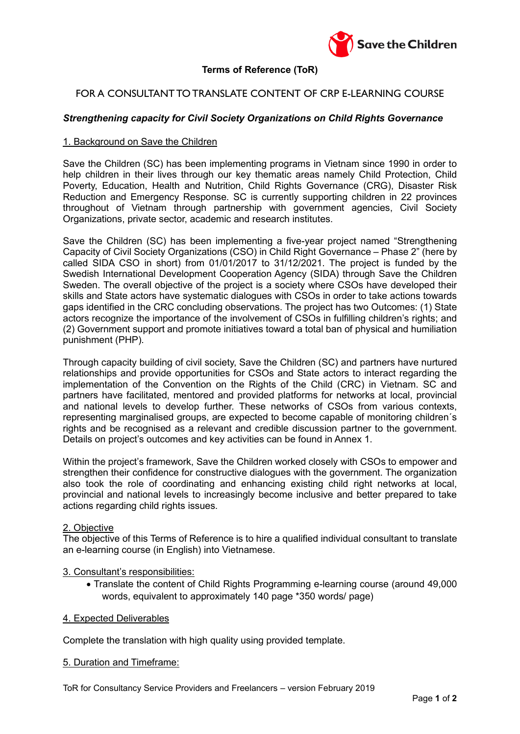

# **Terms of Reference (ToR)**

# FOR A CONSULTANT TO TRANSLATE CONTENT OF CRP E-LEARNING COURSE

# *Strengthening capacity for Civil Society Organizations on Child Rights Governance*

### 1. Background on Save the Children

Save the Children (SC) has been implementing programs in Vietnam since 1990 in order to help children in their lives through our key thematic areas namely Child Protection, Child Poverty, Education, Health and Nutrition, Child Rights Governance (CRG), Disaster Risk Reduction and Emergency Response. SC is currently supporting children in 22 provinces throughout of Vietnam through partnership with government agencies, Civil Society Organizations, private sector, academic and research institutes.

Save the Children (SC) has been implementing a five-year project named "Strengthening Capacity of Civil Society Organizations (CSO) in Child Right Governance – Phase 2" (here by called SIDA CSO in short) from 01/01/2017 to 31/12/2021. The project is funded by the Swedish International Development Cooperation Agency (SIDA) through Save the Children Sweden. The overall objective of the project is a society where CSOs have developed their skills and State actors have systematic dialogues with CSOs in order to take actions towards gaps identified in the CRC concluding observations. The project has two Outcomes: (1) State actors recognize the importance of the involvement of CSOs in fulfilling children's rights; and (2) Government support and promote initiatives toward a total ban of physical and humiliation punishment (PHP).

Through capacity building of civil society, Save the Children (SC) and partners have nurtured relationships and provide opportunities for CSOs and State actors to interact regarding the implementation of the Convention on the Rights of the Child (CRC) in Vietnam. SC and partners have facilitated, mentored and provided platforms for networks at local, provincial and national levels to develop further. These networks of CSOs from various contexts, representing marginalised groups, are expected to become capable of monitoring children´s rights and be recognised as a relevant and credible discussion partner to the government. Details on project's outcomes and key activities can be found in Annex 1.

Within the project's framework, Save the Children worked closely with CSOs to empower and strengthen their confidence for constructive dialogues with the government. The organization also took the role of coordinating and enhancing existing child right networks at local, provincial and national levels to increasingly become inclusive and better prepared to take actions regarding child rights issues.

#### 2. Objective

The objective of this Terms of Reference is to hire a qualified individual consultant to translate an e-learning course (in English) into Vietnamese.

#### 3. Consultant's responsibilities:

• Translate the content of Child Rights Programming e-learning course (around 49,000 words, equivalent to approximately 140 page \*350 words/ page)

#### 4. Expected Deliverables

Complete the translation with high quality using provided template.

# 5. Duration and Timeframe: